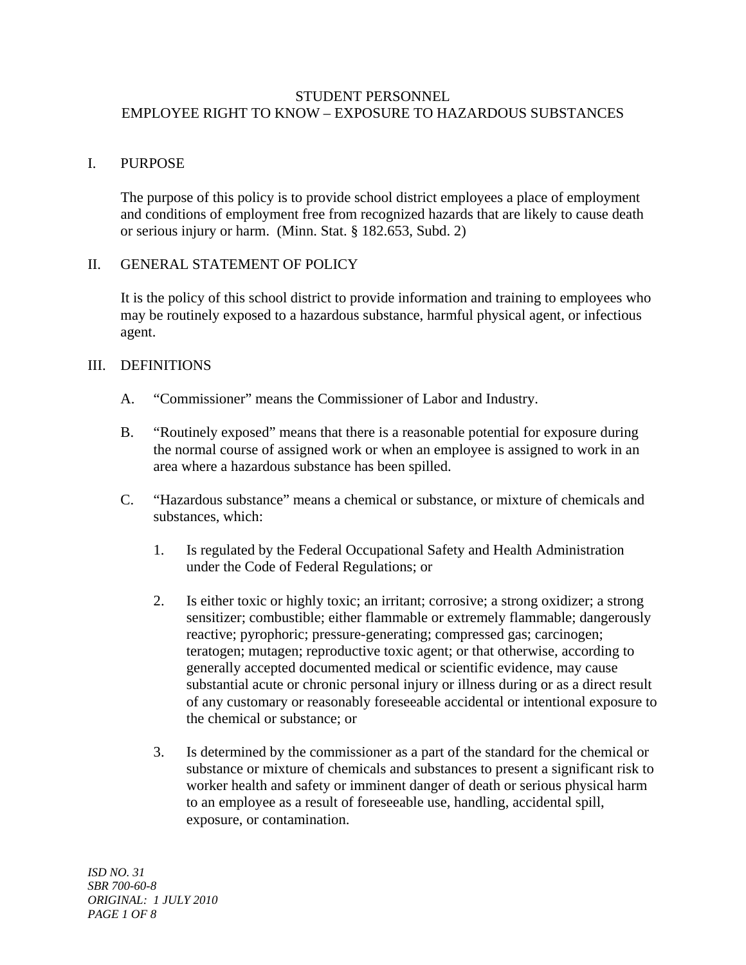### STUDENT PERSONNEL EMPLOYEE RIGHT TO KNOW – EXPOSURE TO HAZARDOUS SUBSTANCES

## I. PURPOSE

 The purpose of this policy is to provide school district employees a place of employment and conditions of employment free from recognized hazards that are likely to cause death or serious injury or harm. (Minn. Stat. § 182.653, Subd. 2)

### II. GENERAL STATEMENT OF POLICY

 It is the policy of this school district to provide information and training to employees who may be routinely exposed to a hazardous substance, harmful physical agent, or infectious agent.

## III. DEFINITIONS

- A. "Commissioner" means the Commissioner of Labor and Industry.
- B. "Routinely exposed" means that there is a reasonable potential for exposure during the normal course of assigned work or when an employee is assigned to work in an area where a hazardous substance has been spilled.
- C. "Hazardous substance" means a chemical or substance, or mixture of chemicals and substances, which:
	- 1. Is regulated by the Federal Occupational Safety and Health Administration under the Code of Federal Regulations; or
	- 2. Is either toxic or highly toxic; an irritant; corrosive; a strong oxidizer; a strong sensitizer; combustible; either flammable or extremely flammable; dangerously reactive; pyrophoric; pressure-generating; compressed gas; carcinogen; teratogen; mutagen; reproductive toxic agent; or that otherwise, according to generally accepted documented medical or scientific evidence, may cause substantial acute or chronic personal injury or illness during or as a direct result of any customary or reasonably foreseeable accidental or intentional exposure to the chemical or substance; or
	- 3. Is determined by the commissioner as a part of the standard for the chemical or substance or mixture of chemicals and substances to present a significant risk to worker health and safety or imminent danger of death or serious physical harm to an employee as a result of foreseeable use, handling, accidental spill, exposure, or contamination.

*ISD NO. 31 SBR 700-60-8 ORIGINAL: 1 JULY 2010 PAGE 1 OF 8*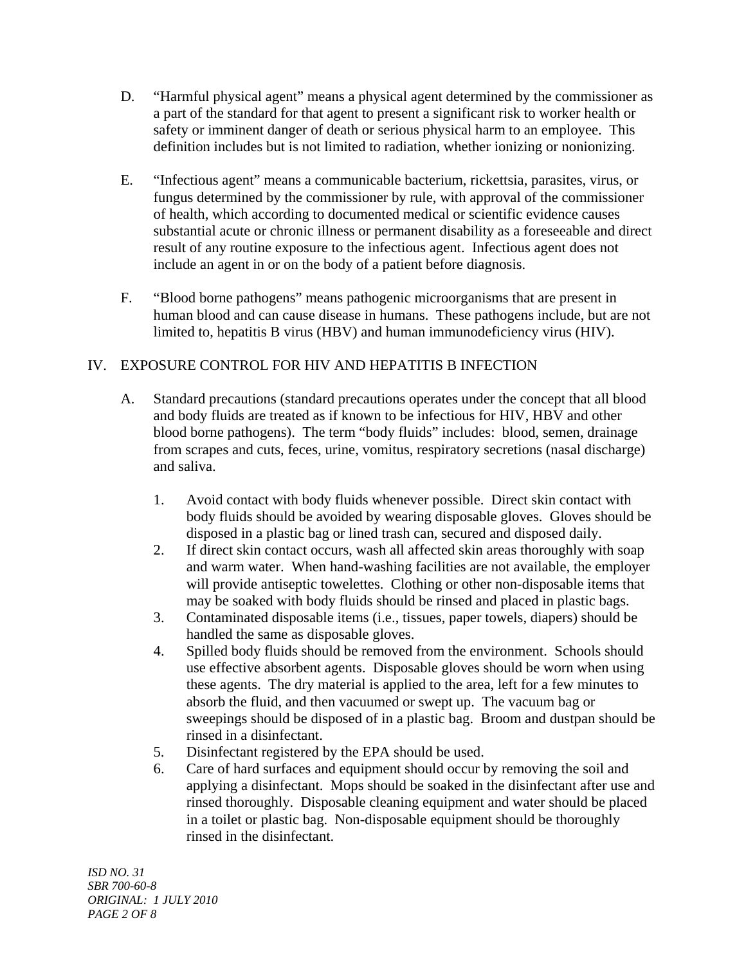- D. "Harmful physical agent" means a physical agent determined by the commissioner as a part of the standard for that agent to present a significant risk to worker health or safety or imminent danger of death or serious physical harm to an employee. This definition includes but is not limited to radiation, whether ionizing or nonionizing.
- E. "Infectious agent" means a communicable bacterium, rickettsia, parasites, virus, or fungus determined by the commissioner by rule, with approval of the commissioner of health, which according to documented medical or scientific evidence causes substantial acute or chronic illness or permanent disability as a foreseeable and direct result of any routine exposure to the infectious agent. Infectious agent does not include an agent in or on the body of a patient before diagnosis.
- F. "Blood borne pathogens" means pathogenic microorganisms that are present in human blood and can cause disease in humans. These pathogens include, but are not limited to, hepatitis B virus (HBV) and human immunodeficiency virus (HIV).

# IV. EXPOSURE CONTROL FOR HIV AND HEPATITIS B INFECTION

- A. Standard precautions (standard precautions operates under the concept that all blood and body fluids are treated as if known to be infectious for HIV, HBV and other blood borne pathogens). The term "body fluids" includes: blood, semen, drainage from scrapes and cuts, feces, urine, vomitus, respiratory secretions (nasal discharge) and saliva.
	- 1. Avoid contact with body fluids whenever possible. Direct skin contact with body fluids should be avoided by wearing disposable gloves. Gloves should be disposed in a plastic bag or lined trash can, secured and disposed daily.
	- 2. If direct skin contact occurs, wash all affected skin areas thoroughly with soap and warm water. When hand-washing facilities are not available, the employer will provide antiseptic towelettes. Clothing or other non-disposable items that may be soaked with body fluids should be rinsed and placed in plastic bags.
	- 3. Contaminated disposable items (i.e., tissues, paper towels, diapers) should be handled the same as disposable gloves.
	- 4. Spilled body fluids should be removed from the environment. Schools should use effective absorbent agents. Disposable gloves should be worn when using these agents. The dry material is applied to the area, left for a few minutes to absorb the fluid, and then vacuumed or swept up. The vacuum bag or sweepings should be disposed of in a plastic bag. Broom and dustpan should be rinsed in a disinfectant.
	- 5. Disinfectant registered by the EPA should be used.
	- 6. Care of hard surfaces and equipment should occur by removing the soil and applying a disinfectant. Mops should be soaked in the disinfectant after use and rinsed thoroughly. Disposable cleaning equipment and water should be placed in a toilet or plastic bag. Non-disposable equipment should be thoroughly rinsed in the disinfectant.

*ISD NO. 31 SBR 700-60-8 ORIGINAL: 1 JULY 2010 PAGE 2 OF 8*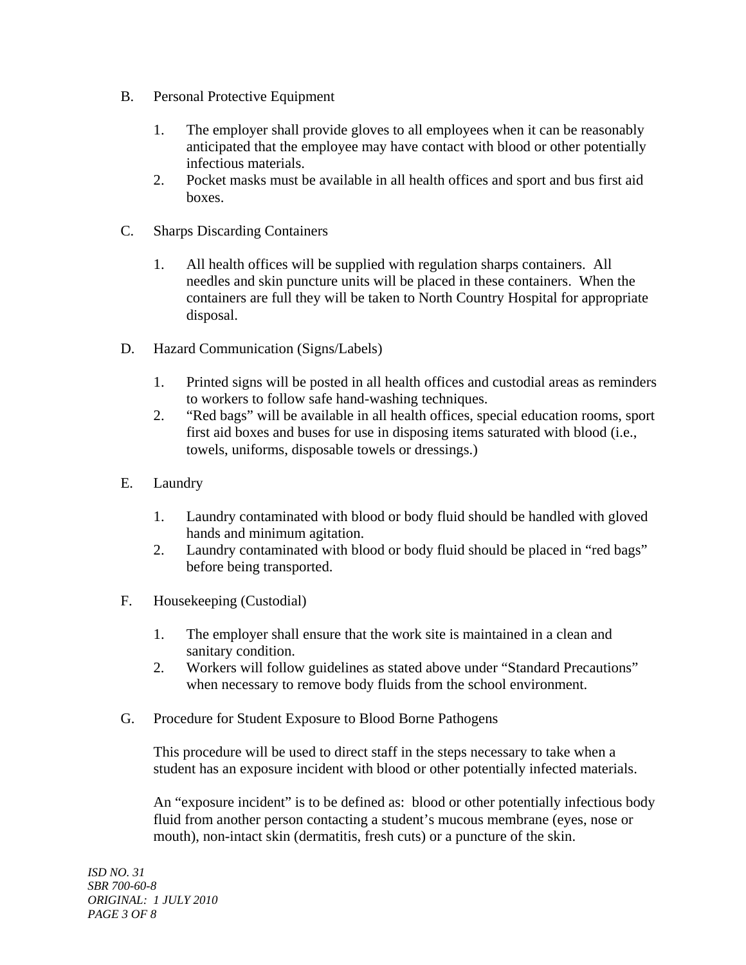- B. Personal Protective Equipment
	- 1. The employer shall provide gloves to all employees when it can be reasonably anticipated that the employee may have contact with blood or other potentially infectious materials.
	- 2. Pocket masks must be available in all health offices and sport and bus first aid boxes.
- C. Sharps Discarding Containers
	- 1. All health offices will be supplied with regulation sharps containers. All needles and skin puncture units will be placed in these containers. When the containers are full they will be taken to North Country Hospital for appropriate disposal.
- D. Hazard Communication (Signs/Labels)
	- 1. Printed signs will be posted in all health offices and custodial areas as reminders to workers to follow safe hand-washing techniques.
	- 2. "Red bags" will be available in all health offices, special education rooms, sport first aid boxes and buses for use in disposing items saturated with blood (i.e., towels, uniforms, disposable towels or dressings.)
- E. Laundry
	- 1. Laundry contaminated with blood or body fluid should be handled with gloved hands and minimum agitation.
	- 2. Laundry contaminated with blood or body fluid should be placed in "red bags" before being transported.
- F. Housekeeping (Custodial)
	- 1. The employer shall ensure that the work site is maintained in a clean and sanitary condition.
	- 2. Workers will follow guidelines as stated above under "Standard Precautions" when necessary to remove body fluids from the school environment.
- G. Procedure for Student Exposure to Blood Borne Pathogens

 This procedure will be used to direct staff in the steps necessary to take when a student has an exposure incident with blood or other potentially infected materials.

 An "exposure incident" is to be defined as: blood or other potentially infectious body fluid from another person contacting a student's mucous membrane (eyes, nose or mouth), non-intact skin (dermatitis, fresh cuts) or a puncture of the skin.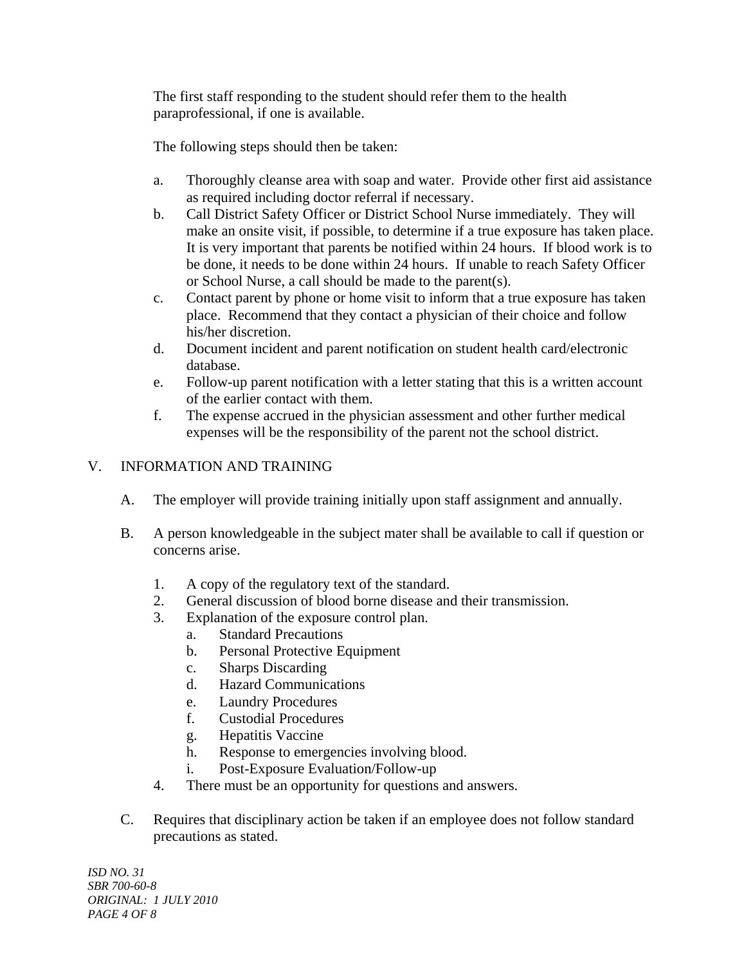The first staff responding to the student should refer them to the health paraprofessional, if one is available.

The following steps should then be taken:

- a. Thoroughly cleanse area with soap and water. Provide other first aid assistance as required including doctor referral if necessary.
- b. Call District Safety Officer or District School Nurse immediately. They will make an onsite visit, if possible, to determine if a true exposure has taken place. It is very important that parents be notified within 24 hours. If blood work is to be done, it needs to be done within 24 hours. If unable to reach Safety Officer or School Nurse, a call should be made to the parent(s).
- c. Contact parent by phone or home visit to inform that a true exposure has taken place. Recommend that they contact a physician of their choice and follow his/her discretion.
- d. Document incident and parent notification on student health card/electronic database.
- e. Follow-up parent notification with a letter stating that this is a written account of the earlier contact with them.
- f. The expense accrued in the physician assessment and other further medical expenses will be the responsibility of the parent not the school district.

# V. INFORMATION AND TRAINING

- A. The employer will provide training initially upon staff assignment and annually.
- B. A person knowledgeable in the subject mater shall be available to call if question or concerns arise.
	- 1. A copy of the regulatory text of the standard.
	- 2. General discussion of blood borne disease and their transmission.
	- 3. Explanation of the exposure control plan.
		- a. Standard Precautions
		- b. Personal Protective Equipment
		- c. Sharps Discarding
		- d. Hazard Communications
		- e. Laundry Procedures
		- f. Custodial Procedures
		- g. Hepatitis Vaccine
		- h. Response to emergencies involving blood.
		- i. Post-Exposure Evaluation/Follow-up
	- 4. There must be an opportunity for questions and answers.
- C. Requires that disciplinary action be taken if an employee does not follow standard precautions as stated.

*ISD NO. 31 SBR 700-60-8 ORIGINAL: 1 JULY 2010 PAGE 4 OF 8*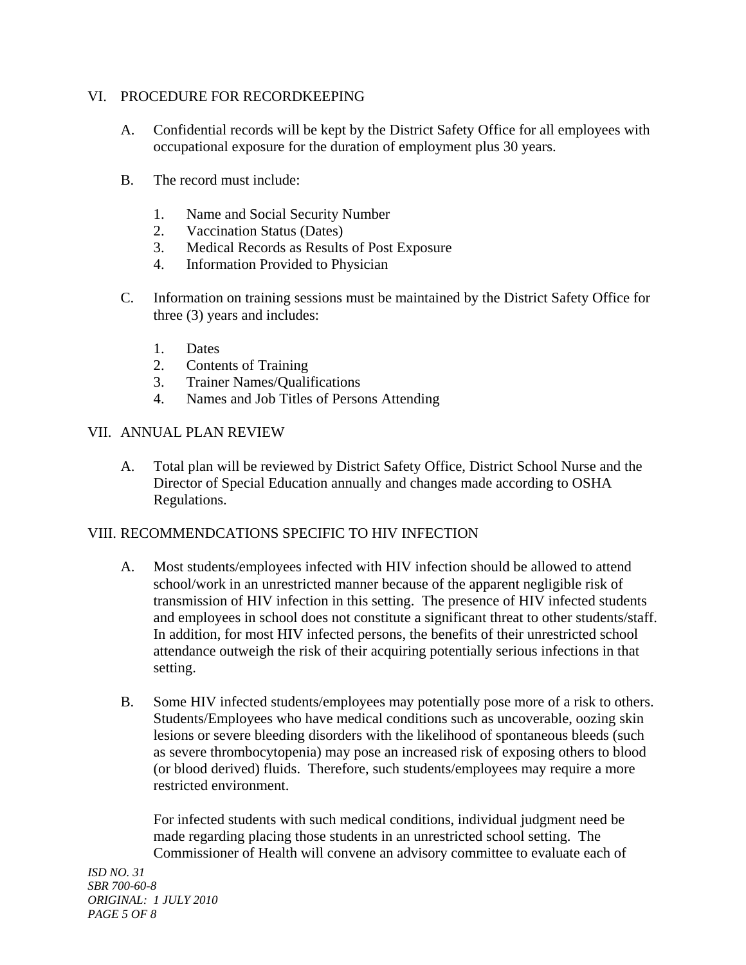## VI. PROCEDURE FOR RECORDKEEPING

- A. Confidential records will be kept by the District Safety Office for all employees with occupational exposure for the duration of employment plus 30 years.
- B. The record must include:
	- 1. Name and Social Security Number
	- 2. Vaccination Status (Dates)
	- 3. Medical Records as Results of Post Exposure
	- 4. Information Provided to Physician
- C. Information on training sessions must be maintained by the District Safety Office for three (3) years and includes:
	- 1. Dates
	- 2. Contents of Training
	- 3. Trainer Names/Qualifications
	- 4. Names and Job Titles of Persons Attending

### VII. ANNUAL PLAN REVIEW

A. Total plan will be reviewed by District Safety Office, District School Nurse and the Director of Special Education annually and changes made according to OSHA Regulations.

### VIII. RECOMMENDCATIONS SPECIFIC TO HIV INFECTION

- A. Most students/employees infected with HIV infection should be allowed to attend school/work in an unrestricted manner because of the apparent negligible risk of transmission of HIV infection in this setting. The presence of HIV infected students and employees in school does not constitute a significant threat to other students/staff. In addition, for most HIV infected persons, the benefits of their unrestricted school attendance outweigh the risk of their acquiring potentially serious infections in that setting.
- B. Some HIV infected students/employees may potentially pose more of a risk to others. Students/Employees who have medical conditions such as uncoverable, oozing skin lesions or severe bleeding disorders with the likelihood of spontaneous bleeds (such as severe thrombocytopenia) may pose an increased risk of exposing others to blood (or blood derived) fluids. Therefore, such students/employees may require a more restricted environment.

 For infected students with such medical conditions, individual judgment need be made regarding placing those students in an unrestricted school setting. The Commissioner of Health will convene an advisory committee to evaluate each of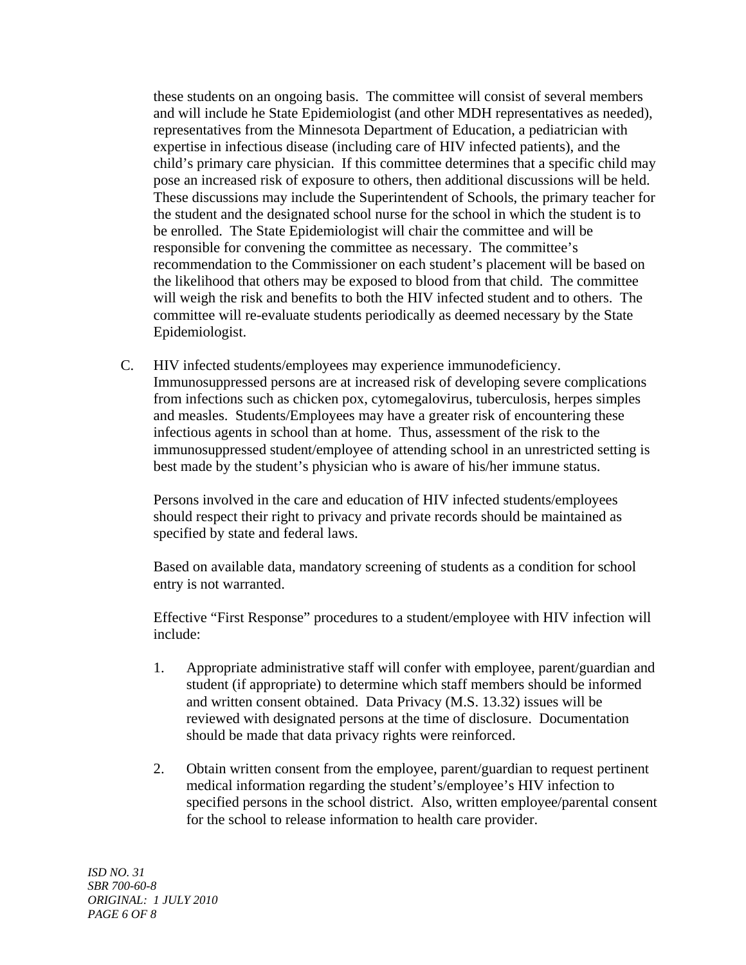these students on an ongoing basis. The committee will consist of several members and will include he State Epidemiologist (and other MDH representatives as needed), representatives from the Minnesota Department of Education, a pediatrician with expertise in infectious disease (including care of HIV infected patients), and the child's primary care physician. If this committee determines that a specific child may pose an increased risk of exposure to others, then additional discussions will be held. These discussions may include the Superintendent of Schools, the primary teacher for the student and the designated school nurse for the school in which the student is to be enrolled. The State Epidemiologist will chair the committee and will be responsible for convening the committee as necessary. The committee's recommendation to the Commissioner on each student's placement will be based on the likelihood that others may be exposed to blood from that child. The committee will weigh the risk and benefits to both the HIV infected student and to others. The committee will re-evaluate students periodically as deemed necessary by the State Epidemiologist.

C. HIV infected students/employees may experience immunodeficiency. Immunosuppressed persons are at increased risk of developing severe complications from infections such as chicken pox, cytomegalovirus, tuberculosis, herpes simples and measles. Students/Employees may have a greater risk of encountering these infectious agents in school than at home. Thus, assessment of the risk to the immunosuppressed student/employee of attending school in an unrestricted setting is best made by the student's physician who is aware of his/her immune status.

 Persons involved in the care and education of HIV infected students/employees should respect their right to privacy and private records should be maintained as specified by state and federal laws.

 Based on available data, mandatory screening of students as a condition for school entry is not warranted.

 Effective "First Response" procedures to a student/employee with HIV infection will include:

- 1. Appropriate administrative staff will confer with employee, parent/guardian and student (if appropriate) to determine which staff members should be informed and written consent obtained. Data Privacy (M.S. 13.32) issues will be reviewed with designated persons at the time of disclosure. Documentation should be made that data privacy rights were reinforced.
- 2. Obtain written consent from the employee, parent/guardian to request pertinent medical information regarding the student's/employee's HIV infection to specified persons in the school district. Also, written employee/parental consent for the school to release information to health care provider.

*ISD NO. 31 SBR 700-60-8 ORIGINAL: 1 JULY 2010 PAGE 6 OF 8*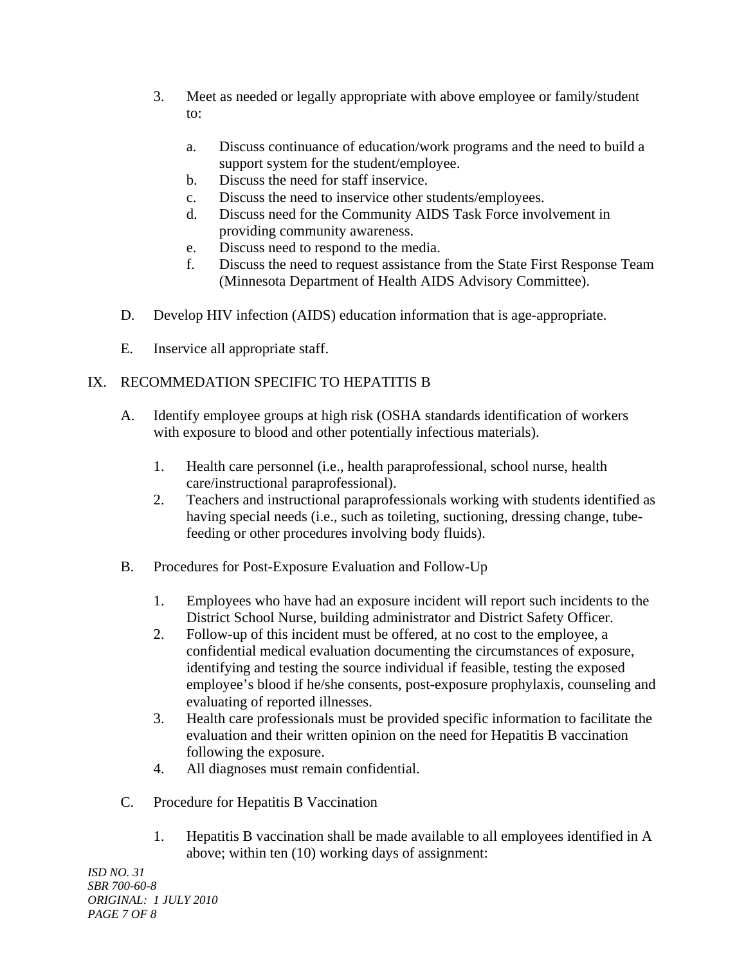- 3. Meet as needed or legally appropriate with above employee or family/student to:
	- a. Discuss continuance of education/work programs and the need to build a support system for the student/employee.
	- b. Discuss the need for staff inservice.
	- c. Discuss the need to inservice other students/employees.
	- d. Discuss need for the Community AIDS Task Force involvement in providing community awareness.
	- e. Discuss need to respond to the media.
	- f. Discuss the need to request assistance from the State First Response Team (Minnesota Department of Health AIDS Advisory Committee).
- D. Develop HIV infection (AIDS) education information that is age-appropriate.
- E. Inservice all appropriate staff.

# IX. RECOMMEDATION SPECIFIC TO HEPATITIS B

- A. Identify employee groups at high risk (OSHA standards identification of workers with exposure to blood and other potentially infectious materials).
	- 1. Health care personnel (i.e., health paraprofessional, school nurse, health care/instructional paraprofessional).
	- 2. Teachers and instructional paraprofessionals working with students identified as having special needs (i.e., such as toileting, suctioning, dressing change, tubefeeding or other procedures involving body fluids).
- B. Procedures for Post-Exposure Evaluation and Follow-Up
	- 1. Employees who have had an exposure incident will report such incidents to the District School Nurse, building administrator and District Safety Officer.
	- 2. Follow-up of this incident must be offered, at no cost to the employee, a confidential medical evaluation documenting the circumstances of exposure, identifying and testing the source individual if feasible, testing the exposed employee's blood if he/she consents, post-exposure prophylaxis, counseling and evaluating of reported illnesses.
	- 3. Health care professionals must be provided specific information to facilitate the evaluation and their written opinion on the need for Hepatitis B vaccination following the exposure.
	- 4. All diagnoses must remain confidential.
- C. Procedure for Hepatitis B Vaccination
	- 1. Hepatitis B vaccination shall be made available to all employees identified in A above; within ten (10) working days of assignment:

*ISD NO. 31 SBR 700-60-8 ORIGINAL: 1 JULY 2010 PAGE 7 OF 8*